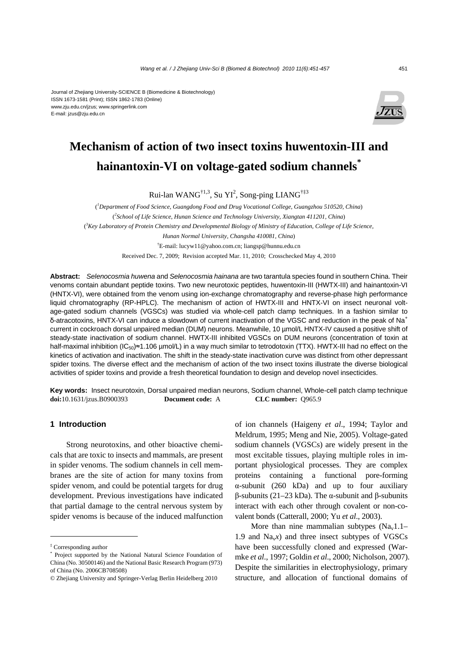#### Journal of Zhejiang University-SCIENCE B (Biomedicine & Biotechnology) ISSN 1673-1581 (Print); ISSN 1862-1783 (Online) www.zju.edu.cn/jzus; www.springerlink.com E-mail: jzus@zju.edu.cn



# **Mechanism of action of two insect toxins huwentoxin-III and hainantoxin-VI on voltage-gated sodium channels\***

Rui-lan WANG<sup>†1,3</sup>, Su YI<sup>2</sup>, Song-ping LIANG<sup>†‡3</sup>

( *1 Department of Food Science, Guangdong Food and Drug Vocational College, Guangzhou 510520, China*) ( *2 School of Life Science, Hunan Science and Technology University, Xiangtan 411201, China*) <sup>3</sup> Key Laboratory of Protein Chemistry and Developmental Biology of Ministry of Education, College of Life Science, *Hunan Normal University, Changsha 410081, China*) † E-mail: lucyw11@yahoo.com.cn; liangsp@hunnu.edu.cn Received Dec. 7, 2009; Revision accepted Mar. 11, 2010; Crosschecked May 4, 2010

**Abstract:** *Selenocosmia huwena* and *Selenocosmia hainana* are two tarantula species found in southern China. Their venoms contain abundant peptide toxins. Two new neurotoxic peptides, huwentoxin-III (HWTX-III) and hainantoxin-VI (HNTX-VI), were obtained from the venom using ion-exchange chromatography and reverse-phase high performance liquid chromatography (RP-HPLC). The mechanism of action of HWTX-III and HNTX-VI on insect neuronal voltage-gated sodium channels (VGSCs) was studied via whole-cell patch clamp techniques. In a fashion similar to δ-atracotoxins, HNTX-VI can induce a slowdown of current inactivation of the VGSC and reduction in the peak of Na<sup>+</sup> current in cockroach dorsal unpaired median (DUM) neurons. Meanwhile, 10 µmol/L HNTX-IV caused a positive shift of steady-state inactivation of sodium channel. HWTX-III inhibited VGSCs on DUM neurons (concentration of toxin at half-maximal inhibition (IC<sub>50</sub>)≈1.106 µmol/L) in a way much similar to tetrodotoxin (TTX). HWTX-III had no effect on the kinetics of activation and inactivation. The shift in the steady-state inactivation curve was distinct from other depressant spider toxins. The diverse effect and the mechanism of action of the two insect toxins illustrate the diverse biological activities of spider toxins and provide a fresh theoretical foundation to design and develop novel insecticides.

**Key words:** Insect neurotoxin, Dorsal unpaired median neurons, Sodium channel, Whole-cell patch clamp technique **doi:**10.1631/jzus.B0900393 **Document code:** A **CLC number:** Q965.9

#### **1 Introduction**

Strong neurotoxins, and other bioactive chemicals that are toxic to insects and mammals, are present in spider venoms. The sodium channels in cell membranes are the site of action for many toxins from spider venom, and could be potential targets for drug development. Previous investigations have indicated that partial damage to the central nervous system by spider venoms is because of the induced malfunction of ion channels (Haigeny *et al*., 1994; Taylor and Meldrum, 1995; Meng and Nie, 2005). Voltage-gated sodium channels (VGSCs) are widely present in the most excitable tissues, playing multiple roles in important physiological processes. They are complex proteins containing a functional pore-forming α-subunit (260 kDa) and up to four auxiliary β-subunits (21–23 kDa). The α-subunit and β-subunits interact with each other through covalent or non-covalent bonds (Catterall, 2000; Yu *et al*., 2003).

More than nine mammalian subtypes  $(Na<sub>v</sub>1.1–$ 1.9 and  $Na<sub>v</sub>x$ ) and three insect subtypes of VGSCs have been successfully cloned and expressed (Warmke *et al*., 1997; Goldin *et al*., 2000; Nicholson, 2007). Despite the similarities in electrophysiology, primary structure, and allocation of functional domains of

<sup>‡</sup> Corresponding author

<sup>\*</sup> Project supported by the National Natural Science Foundation of China (No. 30500146) and the National Basic Research Program (973) of China (No. 2006CB708508)

<sup>©</sup> Zhejiang University and Springer-Verlag Berlin Heidelberg 2010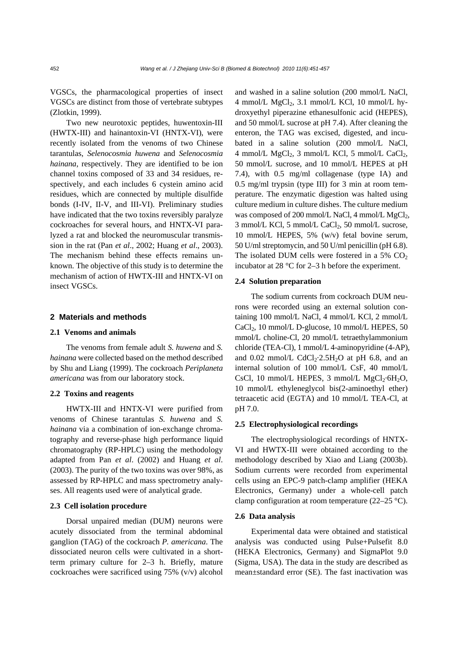VGSCs, the pharmacological properties of insect VGSCs are distinct from those of vertebrate subtypes (Zlotkin, 1999).

Two new neurotoxic peptides, huwentoxin-III (HWTX-III) and hainantoxin-VI (HNTX-VI), were recently isolated from the venoms of two Chinese tarantulas, *Selenocosmia huwena* and *Selenocosmia hainana*, respectively. They are identified to be ion channel toxins composed of 33 and 34 residues, respectively, and each includes 6 cystein amino acid residues, which are connected by multiple disulfide bonds (I-IV, II-V, and III-VI). Preliminary studies have indicated that the two toxins reversibly paralyze cockroaches for several hours, and HNTX-VI paralyzed a rat and blocked the neuromuscular transmission in the rat (Pan *et al*., 2002; Huang *et al*., 2003). The mechanism behind these effects remains unknown. The objective of this study is to determine the mechanism of action of HWTX-III and HNTX-VI on insect VGSCs.

#### **2 Materials and methods**

#### **2.1 Venoms and animals**

The venoms from female adult *S. huwena* and *S. hainana* were collected based on the method described by Shu and Liang (1999). The cockroach *Periplaneta americana* was from our laboratory stock.

#### **2.2 Toxins and reagents**

HWTX-III and HNTX-VI were purified from venoms of Chinese tarantulas *S. huwena* and *S. hainana* via a combination of ion-exchange chromatography and reverse-phase high performance liquid chromatography (RP-HPLC) using the methodology adapted from Pan *et al*. (2002) and Huang *et al*. (2003). The purity of the two toxins was over 98%, as assessed by RP-HPLC and mass spectrometry analyses. All reagents used were of analytical grade.

#### **2.3 Cell isolation procedure**

Dorsal unpaired median (DUM) neurons were acutely dissociated from the terminal abdominal ganglion (TAG) of the cockroach *P. americana*. The dissociated neuron cells were cultivated in a shortterm primary culture for 2–3 h. Briefly, mature cockroaches were sacrificed using 75% (v/v) alcohol and washed in a saline solution (200 mmol/L NaCl, 4 mmol/L  $MgCl<sub>2</sub>$ , 3.1 mmol/L KCl, 10 mmol/L hydroxyethyl piperazine ethanesulfonic acid (HEPES), and 50 mmol/L sucrose at pH 7.4). After cleaning the enteron, the TAG was excised, digested, and incubated in a saline solution (200 mmol/L NaCl, 4 mmol/L MgCl<sub>2</sub>, 3 mmol/L KCl, 5 mmol/L CaCl<sub>2</sub>, 50 mmol/L sucrose, and 10 mmol/L HEPES at pH 7.4), with 0.5 mg/ml collagenase (type IA) and 0.5 mg/ml trypsin (type III) for 3 min at room temperature. The enzymatic digestion was halted using culture medium in culture dishes. The culture medium was composed of 200 mmol/L NaCl, 4 mmol/L  $MgCl<sub>2</sub>$ ,  $3$  mmol/L KCl,  $5$  mmol/L CaCl<sub>2</sub>,  $50$  mmol/L sucrose, 10 mmol/L HEPES, 5% (w/v) fetal bovine serum, 50 U/ml streptomycin, and 50 U/ml penicillin (pH 6.8). The isolated DUM cells were fostered in a 5%  $CO<sub>2</sub>$ incubator at 28 °C for 2–3 h before the experiment.

### **2.4 Solution preparation**

The sodium currents from cockroach DUM neurons were recorded using an external solution containing 100 mmol/L NaCl, 4 mmol/L KCl, 2 mmol/L CaCl<sub>2</sub>, 10 mmol/L D-glucose, 10 mmol/L HEPES, 50 mmol/L choline-Cl, 20 mmol/L tetraethylammonium chloride (TEA-Cl), 1 mmol/L 4-aminopyridine (4-AP), and  $0.02$  mmol/L CdCl<sub>2</sub>·2.5H<sub>2</sub>O at pH 6.8, and an internal solution of 100 mmol/L CsF, 40 mmol/L CsCl, 10 mmol/L HEPES, 3 mmol/L  $MgCl_2·6H_2O$ , 10 mmol/L ethyleneglycol bis(2-aminoethyl ether) tetraacetic acid (EGTA) and 10 mmol/L TEA-Cl, at pH 7.0.

### **2.5 Electrophysiological recordings**

The electrophysiological recordings of HNTX-VI and HWTX-III were obtained according to the methodology described by Xiao and Liang (2003b). Sodium currents were recorded from experimental cells using an EPC-9 patch-clamp amplifier (HEKA Electronics, Germany) under a whole-cell patch clamp configuration at room temperature (22–25 °C).

#### **2.6 Data analysis**

Experimental data were obtained and statistical analysis was conducted using Pulse+Pulsefit 8.0 (HEKA Electronics, Germany) and SigmaPlot 9.0 (Sigma, USA). The data in the study are described as mean±standard error (SE). The fast inactivation was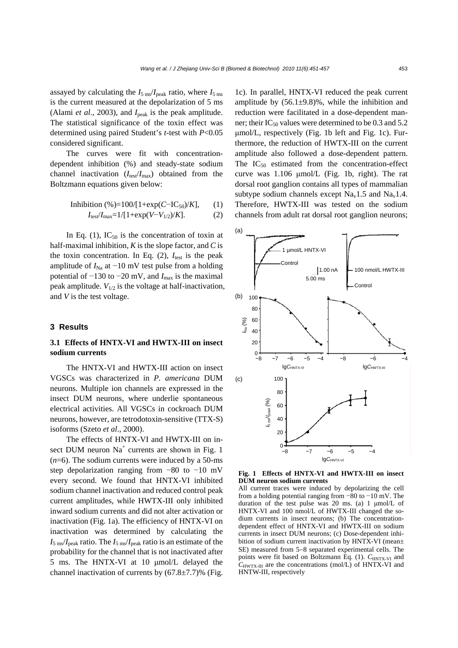assayed by calculating the  $I_{5 \text{ ms}}/I_{\text{peak}}$  ratio, where  $I_{5 \text{ ms}}$ is the current measured at the depolarization of 5 ms (Alami *et al.*, 2003), and  $I_{\text{peak}}$  is the peak amplitude. The statistical significance of the toxin effect was determined using paired Student's *t*-test with *P*<0.05 considered significant.

The curves were fit with concentrationdependent inhibition (%) and steady-state sodium channel inactivation  $(I_{\text{test}}/I_{\text{max}})$  obtained from the Boltzmann equations given below:

Inhibition (%)=100/[1+exp(C–IC<sub>50</sub>)/K], (1)

\n
$$
I_{\text{test}}/I_{\text{max}}=1/[1+\exp(V-V_{1/2})/K]. \tag{2}
$$

In Eq. (1),  $IC_{50}$  is the concentration of toxin at half-maximal inhibition, *K* is the slope factor, and *C* is the toxin concentration. In Eq.  $(2)$ ,  $I_{\text{test}}$  is the peak amplitude of  $I_{\text{Na}}$  at −10 mV test pulse from a holding potential of −130 to −20 mV, and *I*<sub>max</sub> is the maximal peak amplitude.  $V_{1/2}$  is the voltage at half-inactivation, and *V* is the test voltage.

#### **3 Results**

## **3.1 Effects of HNTX-VI and HWTX-III on insect sodium currents**

The HNTX-VI and HWTX-III action on insect VGSCs was characterized in *P. americana* DUM neurons. Multiple ion channels are expressed in the insect DUM neurons, where underlie spontaneous electrical activities. All VGSCs in cockroach DUM neurons, however, are tetrodotoxin-sensitive (TTX-S) isoforms (Szeto *et al*., 2000).

The effects of HNTX-VI and HWTX-III on insect DUM neuron  $Na<sup>+</sup>$  currents are shown in Fig. 1  $(n=6)$ . The sodium currents were induced by a 50-ms step depolarization ranging from −80 to −10 mV every second. We found that HNTX-VI inhibited sodium channel inactivation and reduced control peak current amplitudes, while HWTX-III only inhibited inward sodium currents and did not alter activation or inactivation (Fig. 1a). The efficiency of HNTX-VI on inactivation was determined by calculating the  $I_{\rm 5 \, ms}/I_{\rm peak}$  ratio. The  $I_{\rm 5 \, ms}/I_{\rm peak}$  ratio is an estimate of the probability for the channel that is not inactivated after 5 ms. The HNTX-VI at 10 μmol/L delayed the channel inactivation of currents by  $(67.8\pm7.7)\%$  (Fig.

1c). In parallel, HNTX-VI reduced the peak current amplitude by  $(56.1\pm9.8)\%$ , while the inhibition and reduction were facilitated in a dose-dependent manner; their  $IC_{50}$  values were determined to be 0.3 and 5.2 μmol/L, respectively (Fig. 1b left and Fig. 1c). Furthermore, the reduction of HWTX-III on the current amplitude also followed a dose-dependent pattern. The  $IC_{50}$  estimated from the concentration-effect curve was 1.106 μmol/L (Fig. 1b, right). The rat dorsal root ganglion contains all types of mammalian subtype sodium channels except  $Na<sub>v</sub>1.5$  and  $Na<sub>v</sub>1.4$ . Therefore, HWTX-III was tested on the sodium channels from adult rat dorsal root ganglion neurons;



**Fig. 1 Effects of HNTX-VI and HWTX-III on insect DUM neuron sodium currents**

All current traces were induced by depolarizing the cell from a holding potential ranging from −80 to −10 mV. The duration of the test pulse was 20 ms. (a) 1 μmol/L of HNTX-VI and 100 nmol/L of HWTX-III changed the sodium currents in insect neurons; (b) The concentrationdependent effect of HNTX-VI and HWTX-III on sodium currents in insect DUM neurons; (c) Dose-dependent inhibition of sodium current inactivation by HNTX-VI (mean± SE) measured from 5−8 separated experimental cells. The points were fit based on Boltzmann Eq. (1).  $C_{HNTX-VI}$  and  $C_{\text{HWTX-III}}$  are the concentrations (mol/L) of  $\overline{\text{HNTX-VI}}$  and HNTW-III, respectively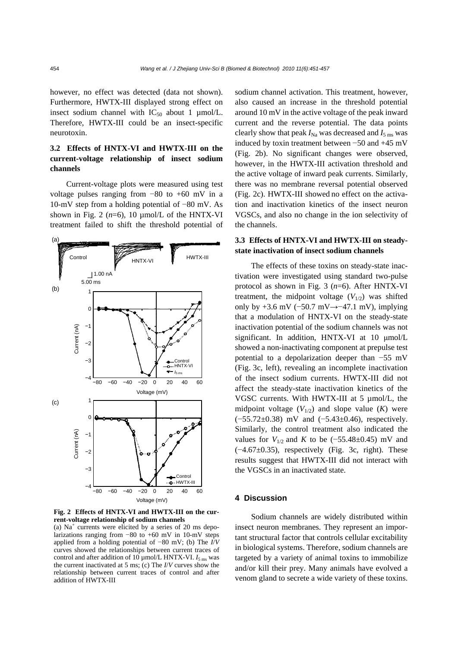however, no effect was detected (data not shown). Furthermore, HWTX-III displayed strong effect on insect sodium channel with  $IC_{50}$  about 1 µmol/L. Therefore, HWTX-III could be an insect-specific neurotoxin.

# **3.2 Effects of HNTX-VI and HWTX-III on the current-voltage relationship of insect sodium channels**

Current-voltage plots were measured using test voltage pulses ranging from −80 to +60 mV in a 10-mV step from a holding potential of −80 mV. As shown in Fig. 2  $(n=6)$ , 10  $\mu$ mol/L of the HNTX-VI treatment failed to shift the threshold potential of



**Fig. 2 Effects of HNTX-VI and HWTX-III on the current-voltage relationship of sodium channels** 

(a)  $Na<sup>+</sup>$  currents were elicited by a series of 20 ms depolarizations ranging from −80 to +60 mV in 10-mV steps applied from a holding potential of −80 mV; (b) The *I*/*V* curves showed the relationships between current traces of control and after addition of  $10 \mu$ mol/L HNTX-VI.  $I_{5 \text{ ms}}$  was the current inactivated at 5 ms; (c) The *I*/*V* curves show the relationship between current traces of control and after addition of HWTX-III

sodium channel activation. This treatment, however, also caused an increase in the threshold potential around 10 mV in the active voltage of the peak inward current and the reverse potential. The data points clearly show that peak  $I_{\text{Na}}$  was decreased and  $I_{\text{5 ms}}$  was induced by toxin treatment between −50 and +45 mV (Fig. 2b). No significant changes were observed, however, in the HWTX-III activation threshold and the active voltage of inward peak currents. Similarly, there was no membrane reversal potential observed (Fig. 2c). HWTX-III showed no effect on the activation and inactivation kinetics of the insect neuron VGSCs, and also no change in the ion selectivity of the channels.

# **3.3 Effects of HNTX-VI and HWTX-III on steadystate inactivation of insect sodium channels**

The effects of these toxins on steady-state inactivation were investigated using standard two-pulse protocol as shown in Fig. 3 (*n*=6). After HNTX-VI treatment, the midpoint voltage  $(V_{1/2})$  was shifted only by +3.6 mV (−50.7 mV→−47.1 mV), implying that a modulation of HNTX-VI on the steady-state inactivation potential of the sodium channels was not significant. In addition, HNTX-VI at 10 μmol/L showed a non-inactivating component at prepulse test potential to a depolarization deeper than −55 mV (Fig. 3c, left), revealing an incomplete inactivation of the insect sodium currents. HWTX-III did not affect the steady-state inactivation kinetics of the VGSC currents. With HWTX-III at 5 µmol/L, the midpoint voltage  $(V_{1/2})$  and slope value  $(K)$  were (−55.72±0.38) mV and (−5.43±0.46), respectively. Similarly, the control treatment also indicated the values for  $V_{1/2}$  and *K* to be (−55.48±0.45) mV and (−4.67±0.35), respectively (Fig. 3c, right). These results suggest that HWTX-III did not interact with the VGSCs in an inactivated state.

## **4 Discussion**

Sodium channels are widely distributed within insect neuron membranes. They represent an important structural factor that controls cellular excitability in biological systems. Therefore, sodium channels are targeted by a variety of animal toxins to immobilize and/or kill their prey. Many animals have evolved a venom gland to secrete a wide variety of these toxins.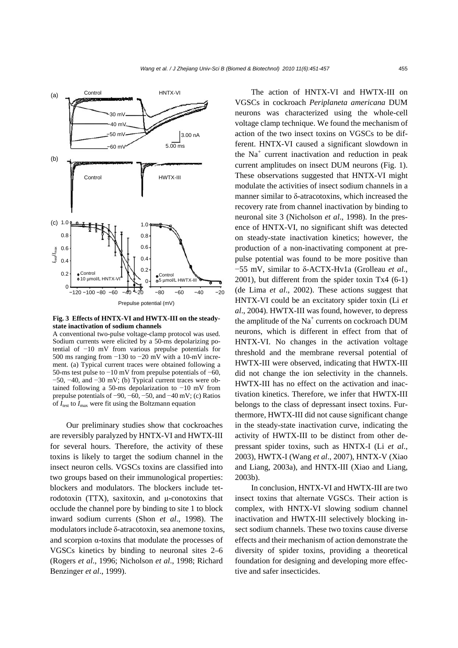

**Fig. 3 Effects of HNTX-VI and HWTX-III on the steadystate inactivation of sodium channels** 

A conventional two-pulse voltage-clamp protocol was used. Sodium currents were elicited by a 50-ms depolarizing potential of −10 mV from various prepulse potentials for 500 ms ranging from −130 to −20 mV with a 10-mV increment. (a) Typical current traces were obtained following a 50-ms test pulse to −10 mV from prepulse potentials of −60,  $-50$ ,  $-40$ , and  $-30$  mV; (b) Typical current traces were obtained following a 50-ms depolarization to −10 mV from prepulse potentials of −90, −60, −50, and −40 mV; (c) Ratios of  $I_{\text{test}}$  to  $I_{\text{max}}$  were fit using the Boltzmann equation

Our preliminary studies show that cockroaches are reversibly paralyzed by HNTX-VI and HWTX-III for several hours. Therefore, the activity of these toxins is likely to target the sodium channel in the insect neuron cells. VGSCs toxins are classified into two groups based on their immunological properties: blockers and modulators. The blockers include tetrodotoxin (TTX), saxitoxin, and μ-conotoxins that occlude the channel pore by binding to site 1 to block inward sodium currents (Shon *et al*., 1998). The modulators include δ-atracotoxin, sea anemone toxins, and scorpion α-toxins that modulate the processes of VGSCs kinetics by binding to neuronal sites 2–6 (Rogers *et al*., 1996; Nicholson *et al*., 1998; Richard Benzinger *et al*., 1999).

The action of HNTX-VI and HWTX-III on VGSCs in cockroach *Periplaneta americana* DUM neurons was characterized using the whole-cell voltage clamp technique. We found the mechanism of action of the two insect toxins on VGSCs to be different. HNTX-VI caused a significant slowdown in the  $Na<sup>+</sup>$  current inactivation and reduction in peak current amplitudes on insect DUM neurons (Fig. 1). These observations suggested that HNTX-VI might modulate the activities of insect sodium channels in a manner similar to δ-atracotoxins, which increased the recovery rate from channel inactivation by binding to neuronal site 3 (Nicholson *et al*., 1998). In the presence of HNTX-VI, no significant shift was detected on steady-state inactivation kinetics; however, the production of a non-inactivating component at prepulse potential was found to be more positive than −55 mV, similar to δ-ACTX-Hv1a (Grolleau *et al*., 2001), but different from the spider toxin Tx4 (6-1) (de Lima *et al*., 2002). These actions suggest that HNTX-VI could be an excitatory spider toxin (Li *et al*., 2004). HWTX-III was found, however, to depress the amplitude of the  $Na<sup>+</sup>$  currents on cockroach DUM neurons, which is different in effect from that of HNTX-VI. No changes in the activation voltage threshold and the membrane reversal potential of HWTX-III were observed, indicating that HWTX-III did not change the ion selectivity in the channels. HWTX-III has no effect on the activation and inactivation kinetics. Therefore, we infer that HWTX-III belongs to the class of depressant insect toxins. Furthermore, HWTX-III did not cause significant change in the steady-state inactivation curve, indicating the activity of HWTX-III to be distinct from other depressant spider toxins, such as HNTX-I (Li *et al*., 2003), HWTX-I (Wang *et al*., 2007), HNTX-V (Xiao and Liang, 2003a), and HNTX-III (Xiao and Liang, 2003b).

In conclusion, HNTX-VI and HWTX-III are two insect toxins that alternate VGSCs. Their action is complex, with HNTX-VI slowing sodium channel inactivation and HWTX-III selectively blocking insect sodium channels. These two toxins cause diverse effects and their mechanism of action demonstrate the diversity of spider toxins, providing a theoretical foundation for designing and developing more effective and safer insecticides.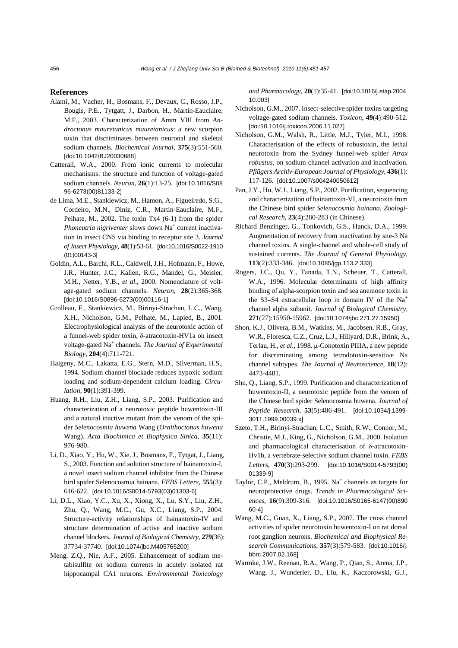#### **References**

- Alami, M., Vacher, H., Bosmans, F., Devaux, C., Rosso, J.P., Bougis, P.E., Tytgatt, J., Darbon, H., Martin-Eauclaire, M.F., 2003. Characterization of Amm VIII from *Androctonus mauretanicus mauretanicus*: a new scorpion toxin that discriminates between neuronal and skeletal sodium channels. *Biochemical Journal*, **375**(3):551-560. [doi:10.1042/BJ20030688]
- Catterall, W.A., 2000. From ionic currents to molecular mechanisms: the structure and function of voltage-gated sodium channels. *Neuron*, **26**(1):13-25. [doi:10.1016/S08 96-6273(00)81133-2]
- de Lima, M.E., Stankiewicz, M., Hamon, A., Figueiredo, S.G., Cordeiro, M.N., Diniz, C.R., Martin-Eauclaire, M.F., Pelhate, M., 2002. The toxin Tx4 (6-1) from the spider Phoneutria nigriventer slows down Na<sup>+</sup> current inactivation in insect CNS via binding to receptor site 3. *Journal of Insect Physiology*, **48**(1):53-61. [doi:10.1016/S0022-1910 (01)00143-3]
- Goldin, A.L., Barchi, R.L., Caldwell, J.H., Hofmann, F., Howe, J.R., Hunter, J.C., Kallen, R.G., Mandel, G., Meisler, M.H., Netter, Y.B., *et al*., 2000. Nomenclature of voltage-gated sodium channels. *Neuron*, **28**(2):365-368. [doi:10.1016/S0896-6273(00)00116-1]
- Grolleau, F., Stankiewicz, M., Birinyi-Strachan, L.C., Wang, X.H., Nicholson, G.M., Pelhate, M., Lapied, B., 2001. Electrophysiological analysis of the neurotoxic action of a funnel-web spider toxin, δ-atracotoxin-HV1a on insect voltage-gated Na<sup>+</sup> channels. *The Journal of Experimental Biology*, **204**(4):711-721.
- Haigeny, M.C., Lakatta, E.G., Stern, M.D., Silverman, H.S., 1994. Sodium channel blockade reduces hypoxic sodium loading and sodium-dependent calcium loading. *Circulation*, **90**(1):391-399.
- Huang, R.H., Liu, Z.H., Liang, S.P., 2003. Purification and characterization of a neurotoxic peptide huwentoxin-III and a natural inactive mutant from the venom of the spider *Selenocosmia huwena* Wang (*Ornithoctonus huwena* Wang). *Acta Biochimica et Biophysica Sinica*, **35**(11): 976-980.
- Li, D., Xiao, Y., Hu, W., Xie, J., Bosmans, F., Tytgat, J., Liang, S., 2003. Function and solution structure of hainantoxin-I, a novel insect sodium channel inhibitor from the Chinese bird spider Selenocosmia hainana. *FEBS Letters*, **555**(3): 616-622. [doi:10.1016/S0014-5793(03)01303-6]
- Li, D.L., Xiao, Y.C., Xu, X., Xiong, X., Lu, S.Y., Liu, Z.H., Zhu, Q., Wang, M.C., Gu, X.C., Liang, S.P., 2004. Structure-activity relationships of hainantoxin-IV and structure determination of active and inactive sodium channel blockers. *Journal of Biological Chemistry*, **279**(36): 37734-37740. [doi:10.1074/jbc.M405765200]
- Meng, Z.Q., Nie, A.F., 2005. Enhancement of sodium metabisulfite on sodium currents in acutely isolated rat hippocampal CA1 neurons. *Environmental Toxicology*

*and Pharmacology*, **20**(1):35-41. [doi:10.1016/j.etap.2004. 10.003]

- Nicholson, G.M., 2007. Insect-selective spider toxins targeting voltage-gated sodium channels. *Toxicon*, **49**(4):490-512. [doi:10.1016/j.toxicon.2006.11.027]
- Nicholson, G.M., Walsh, R., Little, M.J., Tyler, M.I., 1998. Characterisation of the effects of robustoxin, the lethal neurotoxin from the Sydney funnel-web spider *Atrax robustus*, on sodium channel activation and inactivation. *Pflügers Archiv-European Journal of Physiology*, **436**(1): 117-126. [doi:10.1007/s004240050612]
- Pan, J.Y., Hu, W.J., Liang, S.P., 2002. Purification, sequencing and characterization of hainantoxin-VI, a neurotoxin from the Chinese bird spider *Selenocosmia hainana*. *Zoological Research*, **23**(4):280-283 (in Chinese).
- Richard Benzinger, G., Tonkovich, G.S., Hanck, D.A., 1999. Augmentation of recovery from inactivation by site-3 Na channel toxins. A single-channel and whole-cell study of sustained currents. *The Journal of General Physiology*, **113**(2):333-346. [doi:10.1085/jgp.113.2.333]
- Rogers, J.C., Qu, Y., Tanada, T.N., Scheuer, T., Catterall, W.A., 1996. Molecular determinants of high affinity binding of alpha-scorpion toxin and sea anemone toxin in the S3–S4 extracellular loop in domain IV of the Na<sup>+</sup> channel alpha subunit. *Journal of Biological Chemistry*, **271**(27):15950-15962. [doi:10.1074/jbc.271.27.15950]
- Shon, K.J., Olivera, B.M., Watkins, M., Jacobsen, R.B., Gray, W.R., Floresca, C.Z., Cruz, L.J., Hillyard, D.R., Brink, A., Terlau, H., *et al*., 1998. μ-Conotoxin PIIIA, a new peptide for discriminating among tetrodotoxin-sensitive Na channel subtypes. *The Journal of Neuroscience*, **18**(12): 4473-4481.
- Shu, Q., Liang, S.P., 1999. Purification and characterization of huwentoxin-II, a neurotoxic peptide from the venom of the Chinese bird spider Selenocosmia huwena. *Journal of Peptide Research*, **53**(5):486-491. [doi:10.1034/j.1399- 3011.1999.00039.x]
- Szeto, T.H., Birinyi-Strachan, L.C., Smith, R.W., Connor, M., Christie, M.J., King, G., Nicholson, G.M., 2000. Isolation and pharmacological characterisation of δ-atracotoxin-Hv1b, a vertebrate-selective sodium channel toxin. *FEBS Letters*, **470**(3):293-299. [doi:10.1016/S0014-5793(00) 01339-9]
- Taylor, C.P., Meldrum, B., 1995. Na<sup>+</sup> channels as targets for neuroprotective drugs. *Trends in Pharmacological Sciences*, **16**(9):309-316. [doi:10.1016/S0165-6147(00)890 60-4]
- Wang, M.C., Guan, X., Liang, S.P., 2007. The cross channel activities of spider neurotoxin huwentoxin-I on rat dorsal root ganglion neurons. *Biochemical and Biophysical Research Communications*, **357**(3):579-583. [doi:10.1016/j. bbrc.2007.02.168]
- Warmke, J.W., Reenan, R.A., Wang, P., Qian, S., Arena, J.P., Wang, J., Wunderler, D., Liu, K., Kaczorowski, G.J.,